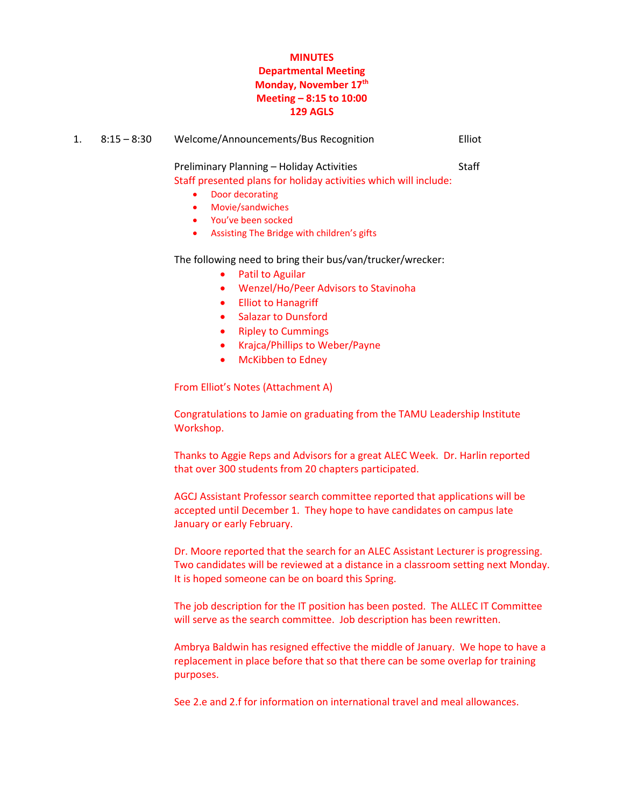#### **MINUTES Departmental Meeting Monday, November 17th Meeting – 8:15 to 10:00 129 AGLS**

| $8:15-8:30$ | Welcome/Announcements/Bus Recognition | Elliot |
|-------------|---------------------------------------|--------|
|             |                                       |        |

Preliminary Planning – Holiday Activities Staff Staff presented plans for holiday activities which will include:

- Door decorating
- Movie/sandwiches
- You've been socked
- Assisting The Bridge with children's gifts

The following need to bring their bus/van/trucker/wrecker:

- Patil to Aguilar
- Wenzel/Ho/Peer Advisors to Stavinoha
- **•** Elliot to Hanagriff
- Salazar to Dunsford
- Ripley to Cummings
- Krajca/Phillips to Weber/Payne
- McKibben to Edney

From Elliot's Notes (Attachment A)

Congratulations to Jamie on graduating from the TAMU Leadership Institute Workshop.

Thanks to Aggie Reps and Advisors for a great ALEC Week. Dr. Harlin reported that over 300 students from 20 chapters participated.

AGCJ Assistant Professor search committee reported that applications will be accepted until December 1. They hope to have candidates on campus late January or early February.

Dr. Moore reported that the search for an ALEC Assistant Lecturer is progressing. Two candidates will be reviewed at a distance in a classroom setting next Monday. It is hoped someone can be on board this Spring.

The job description for the IT position has been posted. The ALLEC IT Committee will serve as the search committee. Job description has been rewritten.

Ambrya Baldwin has resigned effective the middle of January. We hope to have a replacement in place before that so that there can be some overlap for training purposes.

See 2.e and 2.f for information on international travel and meal allowances.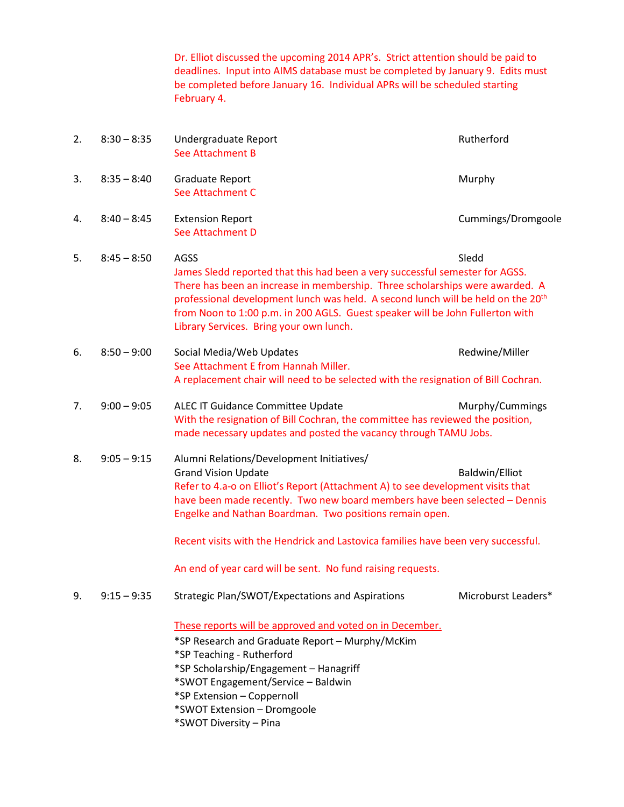Dr. Elliot discussed the upcoming 2014 APR's. Strict attention should be paid to deadlines. Input into AIMS database must be completed by January 9. Edits must be completed before January 16. Individual APRs will be scheduled starting February 4.

| 2. | $8:30 - 8:35$ | Undergraduate Report<br>See Attachment B                                                                                                                                                                                                                                                                                                                                                         | Rutherford          |
|----|---------------|--------------------------------------------------------------------------------------------------------------------------------------------------------------------------------------------------------------------------------------------------------------------------------------------------------------------------------------------------------------------------------------------------|---------------------|
| 3. | $8:35 - 8:40$ | Graduate Report<br>See Attachment C                                                                                                                                                                                                                                                                                                                                                              | Murphy              |
| 4. | $8:40 - 8:45$ | <b>Extension Report</b><br>See Attachment D                                                                                                                                                                                                                                                                                                                                                      | Cummings/Dromgoole  |
| 5. | $8:45 - 8:50$ | AGSS<br>James Sledd reported that this had been a very successful semester for AGSS.<br>There has been an increase in membership. Three scholarships were awarded. A<br>professional development lunch was held. A second lunch will be held on the 20 <sup>th</sup><br>from Noon to 1:00 p.m. in 200 AGLS. Guest speaker will be John Fullerton with<br>Library Services. Bring your own lunch. | Sledd               |
| 6. | $8:50 - 9:00$ | Social Media/Web Updates<br>See Attachment E from Hannah Miller.<br>A replacement chair will need to be selected with the resignation of Bill Cochran.                                                                                                                                                                                                                                           | Redwine/Miller      |
| 7. | $9:00 - 9:05$ | ALEC IT Guidance Committee Update<br>With the resignation of Bill Cochran, the committee has reviewed the position,<br>made necessary updates and posted the vacancy through TAMU Jobs.                                                                                                                                                                                                          | Murphy/Cummings     |
| 8. | $9:05 - 9:15$ | Alumni Relations/Development Initiatives/<br><b>Grand Vision Update</b><br>Refer to 4.a-o on Elliot's Report (Attachment A) to see development visits that<br>have been made recently. Two new board members have been selected - Dennis<br>Engelke and Nathan Boardman. Two positions remain open.                                                                                              | Baldwin/Elliot      |
|    |               | Recent visits with the Hendrick and Lastovica families have been very successful.                                                                                                                                                                                                                                                                                                                |                     |
| 9. | $9:15 - 9:35$ | An end of year card will be sent. No fund raising requests.<br>Strategic Plan/SWOT/Expectations and Aspirations                                                                                                                                                                                                                                                                                  | Microburst Leaders* |
|    |               | These reports will be approved and voted on in December.<br>*SP Research and Graduate Report - Murphy/McKim<br>*SP Teaching - Rutherford<br>*SP Scholarship/Engagement - Hanagriff<br>*SWOT Engagement/Service - Baldwin<br>*SP Extension - Coppernoll<br>*SWOT Extension - Dromgoole                                                                                                            |                     |

\*SWOT Diversity – Pina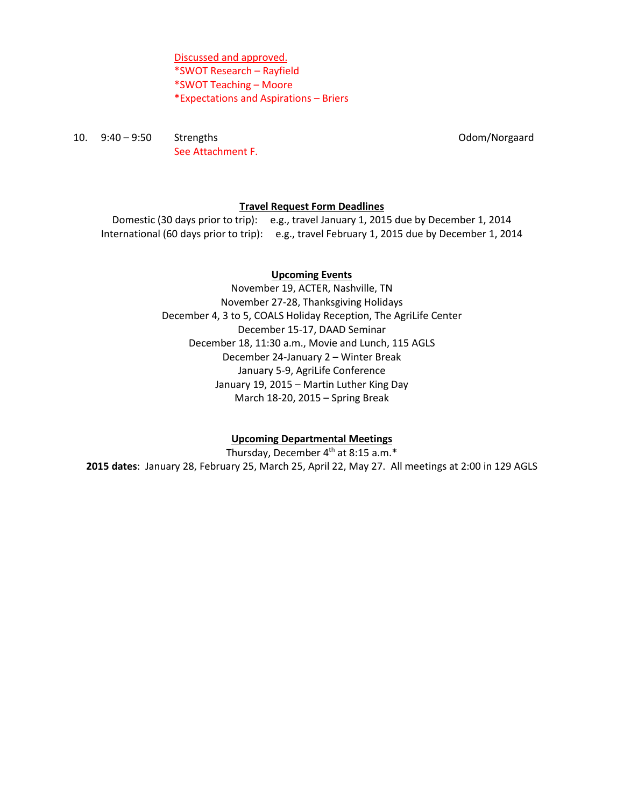Discussed and approved. \*SWOT Research – Rayfield \*SWOT Teaching – Moore \*Expectations and Aspirations – Briers

10. 9:40 – 9:50 Strengths Odom/Norgaard See Attachment F.

#### **Travel Request Form Deadlines**

Domestic (30 days prior to trip): e.g., travel January 1, 2015 due by December 1, 2014 International (60 days prior to trip): e.g., travel February 1, 2015 due by December 1, 2014

#### **Upcoming Events**

November 19, ACTER, Nashville, TN November 27-28, Thanksgiving Holidays December 4, 3 to 5, COALS Holiday Reception, The AgriLife Center December 15-17, DAAD Seminar December 18, 11:30 a.m., Movie and Lunch, 115 AGLS December 24-January 2 – Winter Break January 5-9, AgriLife Conference January 19, 2015 – Martin Luther King Day March 18-20, 2015 – Spring Break

#### **Upcoming Departmental Meetings**

Thursday, December 4<sup>th</sup> at 8:15 a.m.\* **2015 dates**: January 28, February 25, March 25, April 22, May 27. All meetings at 2:00 in 129 AGLS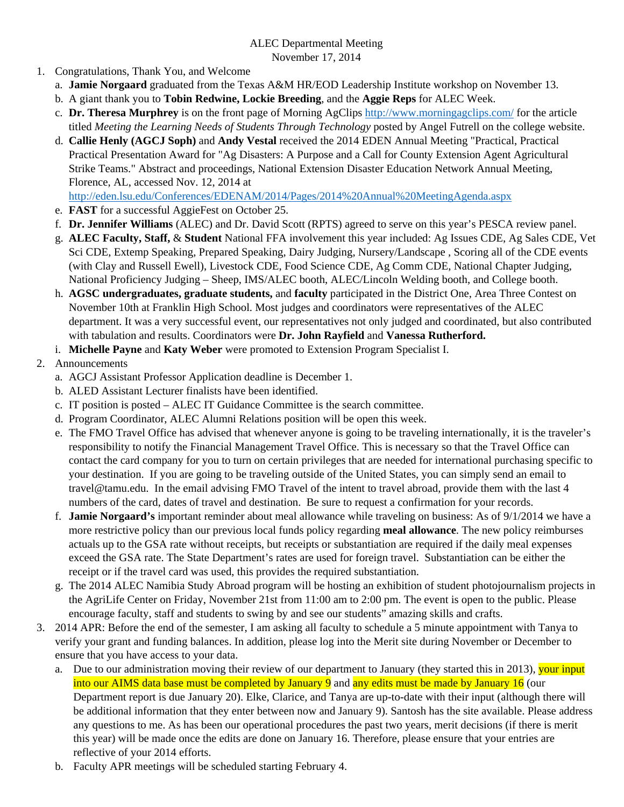#### ALEC Departmental Meeting November 17, 2014

- 1. Congratulations, Thank You, and Welcome
	- a. **Jamie Norgaard** graduated from the Texas A&M HR/EOD Leadership Institute workshop on November 13.
	- b. A giant thank you to **Tobin Redwine, Lockie Breeding**, and the **Aggie Reps** for ALEC Week.
	- c. **Dr. Theresa Murphrey** is on the front page of Morning AgClips http://www.morningagclips.com/ for the article titled *Meeting the Learning Needs of Students Through Technology* posted by Angel Futrell on the college website.
	- d. **Callie Henly (AGCJ Soph)** and **Andy Vestal** received the 2014 EDEN Annual Meeting "Practical, Practical Practical Presentation Award for "Ag Disasters: A Purpose and a Call for County Extension Agent Agricultural Strike Teams." Abstract and proceedings, National Extension Disaster Education Network Annual Meeting, Florence, AL, accessed Nov. 12, 2014 at

http://eden.lsu.edu/Conferences/EDENAM/2014/Pages/2014%20Annual%20MeetingAgenda.aspx

- e. **FAST** for a successful AggieFest on October 25.
- f. **Dr. Jennifer Williams** (ALEC) and Dr. David Scott (RPTS) agreed to serve on this year's PESCA review panel.
- g. **ALEC Faculty, Staff,** & **Student** National FFA involvement this year included: Ag Issues CDE, Ag Sales CDE, Vet Sci CDE, Extemp Speaking, Prepared Speaking, Dairy Judging, Nursery/Landscape , Scoring all of the CDE events (with Clay and Russell Ewell), Livestock CDE, Food Science CDE, Ag Comm CDE, National Chapter Judging, National Proficiency Judging – Sheep, IMS/ALEC booth, ALEC/Lincoln Welding booth, and College booth.
- h. **AGSC undergraduates, graduate students,** and **faculty** participated in the District One, Area Three Contest on November 10th at Franklin High School. Most judges and coordinators were representatives of the ALEC department. It was a very successful event, our representatives not only judged and coordinated, but also contributed with tabulation and results. Coordinators were **Dr. John Rayfield** and **Vanessa Rutherford.**
- i. **Michelle Payne** and **Katy Weber** were promoted to Extension Program Specialist I.

# 2. Announcements

- a. AGCJ Assistant Professor Application deadline is December 1.
- b. ALED Assistant Lecturer finalists have been identified.
- c. IT position is posted ALEC IT Guidance Committee is the search committee.
- d. Program Coordinator, ALEC Alumni Relations position will be open this week.
- e. The FMO Travel Office has advised that whenever anyone is going to be traveling internationally, it is the traveler's responsibility to notify the Financial Management Travel Office. This is necessary so that the Travel Office can contact the card company for you to turn on certain privileges that are needed for international purchasing specific to your destination. If you are going to be traveling outside of the United States, you can simply send an email to travel@tamu.edu. In the email advising FMO Travel of the intent to travel abroad, provide them with the last 4 numbers of the card, dates of travel and destination. Be sure to request a confirmation for your records.
- f. **Jamie Norgaard's** important reminder about meal allowance while traveling on business: As of 9/1/2014 we have a more restrictive policy than our previous local funds policy regarding **meal allowance**. The new policy reimburses actuals up to the GSA rate without receipts, but receipts or substantiation are required if the daily meal expenses exceed the GSA rate. The State Department's rates are used for foreign travel. Substantiation can be either the receipt or if the travel card was used, this provides the required substantiation.
- g. The 2014 ALEC Namibia Study Abroad program will be hosting an exhibition of student photojournalism projects in the AgriLife Center on Friday, November 21st from 11:00 am to 2:00 pm. The event is open to the public. Please encourage faculty, staff and students to swing by and see our students" amazing skills and crafts.
- 3. 2014 APR: Before the end of the semester, I am asking all faculty to schedule a 5 minute appointment with Tanya to verify your grant and funding balances. In addition, please log into the Merit site during November or December to ensure that you have access to your data.
	- a. Due to our administration moving their review of our department to January (they started this in 2013), your input into our AIMS data base must be completed by January 9 and any edits must be made by January 16 (our Department report is due January 20). Elke, Clarice, and Tanya are up-to-date with their input (although there will be additional information that they enter between now and January 9). Santosh has the site available. Please address any questions to me. As has been our operational procedures the past two years, merit decisions (if there is merit this year) will be made once the edits are done on January 16. Therefore, please ensure that your entries are reflective of your 2014 efforts.
	- b. Faculty APR meetings will be scheduled starting February 4.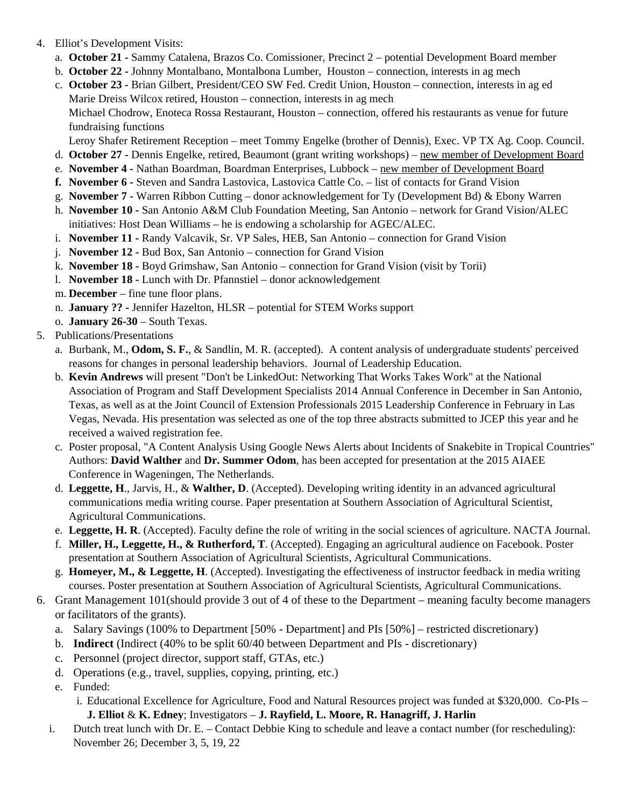- 4. Elliot's Development Visits:
	- a. **October 21** Sammy Catalena, Brazos Co. Comissioner, Precinct 2 potential Development Board member
	- b. **October 22** Johnny Montalbano, Montalbona Lumber, Houston connection, interests in ag mech
	- c. **October 23** Brian Gilbert, President/CEO SW Fed. Credit Union, Houston connection, interests in ag ed Marie Dreiss Wilcox retired, Houston – connection, interests in ag mech Michael Chodrow, Enoteca Rossa Restaurant, Houston – connection, offered his restaurants as venue for future

fundraising functions

Leroy Shafer Retirement Reception – meet Tommy Engelke (brother of Dennis), Exec. VP TX Ag. Coop. Council.

- d. **October 27** Dennis Engelke, retired, Beaumont (grant writing workshops) new member of Development Board
- e. **November 4** Nathan Boardman, Boardman Enterprises, Lubbock new member of Development Board
- **f. November 6** Steven and Sandra Lastovica, Lastovica Cattle Co. list of contacts for Grand Vision
- g. **November 7** Warren Ribbon Cutting donor acknowledgement for Ty (Development Bd) & Ebony Warren
- h. **November 10** San Antonio A&M Club Foundation Meeting, San Antonio network for Grand Vision/ALEC initiatives: Host Dean Williams – he is endowing a scholarship for AGEC/ALEC.
- i. **November 11** Randy Valcavik, Sr. VP Sales, HEB, San Antonio connection for Grand Vision
- j. **November 12** Bud Box, San Antonio connection for Grand Vision
- k. **November 18** Boyd Grimshaw, San Antonio connection for Grand Vision (visit by Torii)
- l. **November 18** Lunch with Dr. Pfannstiel donor acknowledgement
- m. **December** fine tune floor plans.
- n. **January ??** Jennifer Hazelton, HLSR potential for STEM Works support
- o. **January 26-30** South Texas.
- 5. Publications/Presentations
	- a. Burbank, M., **Odom, S. F.**, & Sandlin, M. R. (accepted). A content analysis of undergraduate students' perceived reasons for changes in personal leadership behaviors. Journal of Leadership Education.
	- b. **Kevin Andrews** will present "Don't be LinkedOut: Networking That Works Takes Work" at the National Association of Program and Staff Development Specialists 2014 Annual Conference in December in San Antonio, Texas, as well as at the Joint Council of Extension Professionals 2015 Leadership Conference in February in Las Vegas, Nevada. His presentation was selected as one of the top three abstracts submitted to JCEP this year and he received a waived registration fee.
	- c. Poster proposal, "A Content Analysis Using Google News Alerts about Incidents of Snakebite in Tropical Countries" Authors: **David Walther** and **Dr. Summer Odom**, has been accepted for presentation at the 2015 AIAEE Conference in Wageningen, The Netherlands.
	- d. **Leggette, H**., Jarvis, H., & **Walther, D**. (Accepted). Developing writing identity in an advanced agricultural communications media writing course. Paper presentation at Southern Association of Agricultural Scientist, Agricultural Communications.
	- e. **Leggette, H. R**. (Accepted). Faculty define the role of writing in the social sciences of agriculture. NACTA Journal.
	- f. **Miller, H., Leggette, H., & Rutherford, T**. (Accepted). Engaging an agricultural audience on Facebook. Poster presentation at Southern Association of Agricultural Scientists, Agricultural Communications.
	- g. **Homeyer, M., & Leggette, H**. (Accepted). Investigating the effectiveness of instructor feedback in media writing courses. Poster presentation at Southern Association of Agricultural Scientists, Agricultural Communications.
- 6. Grant Management 101(should provide 3 out of 4 of these to the Department meaning faculty become managers or facilitators of the grants).
	- a. Salary Savings (100% to Department [50% Department] and PIs [50%] restricted discretionary)
	- b. **Indirect** (Indirect (40% to be split 60/40 between Department and PIs discretionary)
	- c. Personnel (project director, support staff, GTAs, etc.)
	- d. Operations (e.g., travel, supplies, copying, printing, etc.)
	- e. Funded:
		- i. Educational Excellence for Agriculture, Food and Natural Resources project was funded at \$320,000. Co-PIs **J. Elliot** & **K. Edney**; Investigators – **J. Rayfield, L. Moore, R. Hanagriff, J. Harlin**
	- i. Dutch treat lunch with Dr. E. Contact Debbie King to schedule and leave a contact number (for rescheduling): November 26; December 3, 5, 19, 22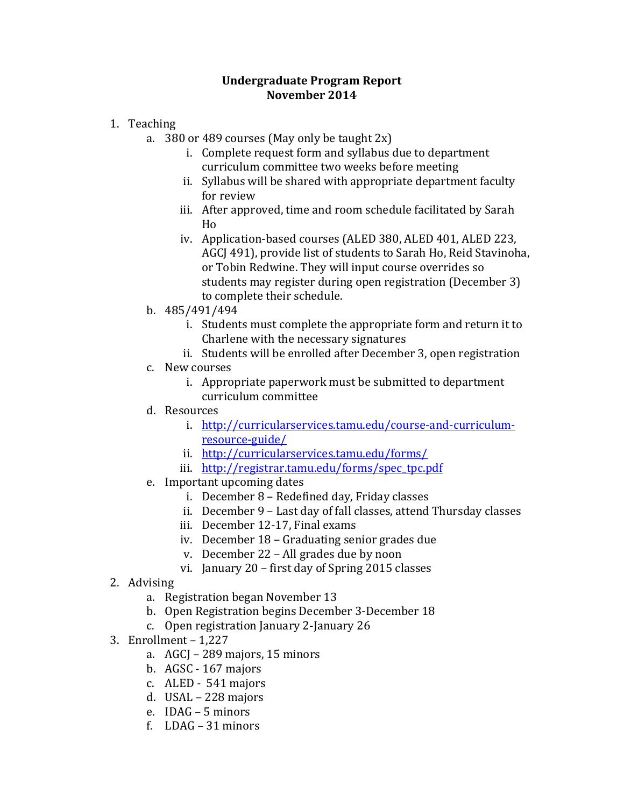## **Undergraduate Program Report November 2014**

- 1. Teaching
	- a. 380 or 489 courses (May only be taught  $2x$ )
		- i. Complete request form and syllabus due to department curriculum committee two weeks before meeting
		- ii. Syllabus will be shared with appropriate department faculty for review
		- iii. After approved, time and room schedule facilitated by Sarah Ho
		- iv. Application-based courses (ALED 380, ALED 401, ALED 223, AGCJ 491), provide list of students to Sarah Ho, Reid Stavinoha, or Tobin Redwine. They will input course overrides so students may register during open registration (December 3) to complete their schedule.
	- b. 485/491/494
		- i. Students must complete the appropriate form and return it to Charlene with the necessary signatures
		- ii. Students will be enrolled after December 3, open registration
	- c. New courses
		- i. Appropriate paperwork must be submitted to department curriculum committee
	- d. Resources
		- i. http://curricularservices.tamu.edu/course-and-curriculumresource‐guide/
		- ii. http://curricularservices.tamu.edu/forms/
		- iii. http://registrar.tamu.edu/forms/spec\_tpc.pdf
	- e. Important upcoming dates
		- i. December 8 Redefined day, Friday classes
		- ii. December 9 Last day of fall classes, attend Thursday classes
		- iii. December 12-17, Final exams
		- iv. December 18 Graduating senior grades due
		- v. December  $22 All$  grades due by noon
		- vi. January  $20 -$  first day of Spring 2015 classes
- 2. Advising
	- a. Registration began November 13
	- b. Open Registration begins December 3-December 18
	- c. Open registration January 2-January 26
- 3. Enrollment  $-1,227$ 
	- a. AGCJ 289 majors, 15 minors
	- b.  $AGSC 167$  majors
	- c. ALED  $541$  majors
	- d. USAL 228 majors
	- e. IDAG 5 minors
	- f.  $LDAG 31$  minors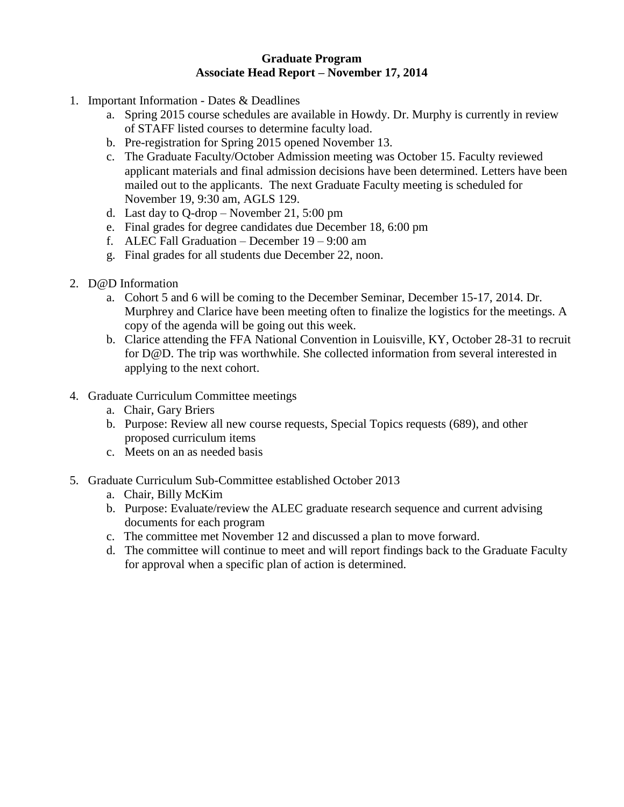#### **Graduate Program Associate Head Report – November 17, 2014**

- 1. Important Information Dates & Deadlines
	- a. Spring 2015 course schedules are available in Howdy. Dr. Murphy is currently in review of STAFF listed courses to determine faculty load.
	- b. Pre-registration for Spring 2015 opened November 13.
	- c. The Graduate Faculty/October Admission meeting was October 15. Faculty reviewed applicant materials and final admission decisions have been determined. Letters have been mailed out to the applicants. The next Graduate Faculty meeting is scheduled for November 19, 9:30 am, AGLS 129.
	- d. Last day to Q-drop November 21, 5:00 pm
	- e. Final grades for degree candidates due December 18, 6:00 pm
	- f. ALEC Fall Graduation December 19 9:00 am
	- g. Final grades for all students due December 22, noon.
- 2. D@D Information
	- a. Cohort 5 and 6 will be coming to the December Seminar, December 15-17, 2014. Dr. Murphrey and Clarice have been meeting often to finalize the logistics for the meetings. A copy of the agenda will be going out this week.
	- b. Clarice attending the FFA National Convention in Louisville, KY, October 28-31 to recruit for D@D. The trip was worthwhile. She collected information from several interested in applying to the next cohort.
- 4. Graduate Curriculum Committee meetings
	- a. Chair, Gary Briers
	- b. Purpose: Review all new course requests, Special Topics requests (689), and other proposed curriculum items
	- c. Meets on an as needed basis
- 5. Graduate Curriculum Sub-Committee established October 2013
	- a. Chair, Billy McKim
	- b. Purpose: Evaluate/review the ALEC graduate research sequence and current advising documents for each program
	- c. The committee met November 12 and discussed a plan to move forward.
	- d. The committee will continue to meet and will report findings back to the Graduate Faculty for approval when a specific plan of action is determined.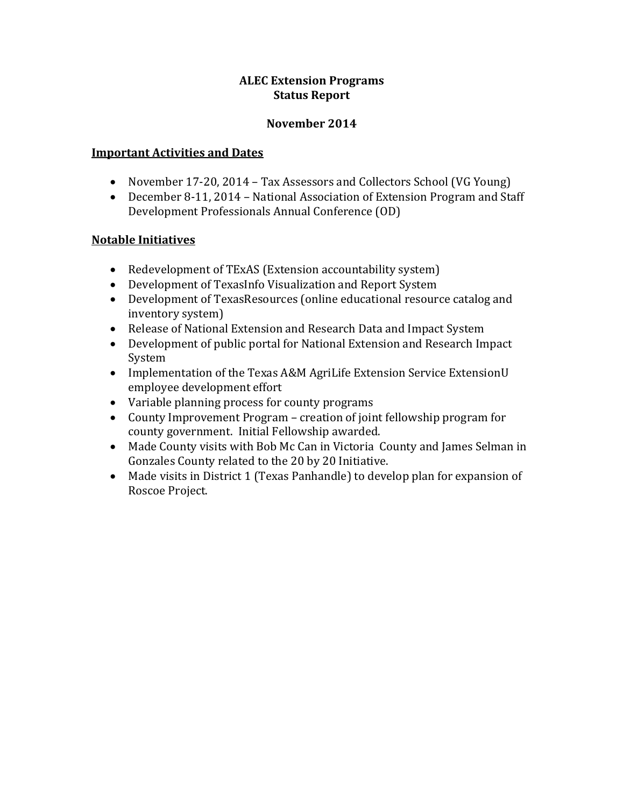# **ALEC Extension Programs Status Report**

# **November 2014**

## **Important Activities and Dates**

- November 17-20, 2014 Tax Assessors and Collectors School (VG Young)
- December 8-11, 2014 National Association of Extension Program and Staff Development Professionals Annual Conference (OD)

# **Notable Initiatives**

- Redevelopment of TExAS (Extension accountability system)
- Development of TexasInfo Visualization and Report System
- Development of TexasResources (online educational resource catalog and inventory system)
- Release of National Extension and Research Data and Impact System
- Development of public portal for National Extension and Research Impact System
- Implementation of the Texas A&M AgriLife Extension Service ExtensionU employee development effort
- Variable planning process for county programs
- County Improvement Program creation of joint fellowship program for county government. Initial Fellowship awarded.
- Made County visits with Bob Mc Can in Victoria County and James Selman in Gonzales County related to the 20 by 20 Initiative.
- Made visits in District 1 (Texas Panhandle) to develop plan for expansion of Roscoe Project.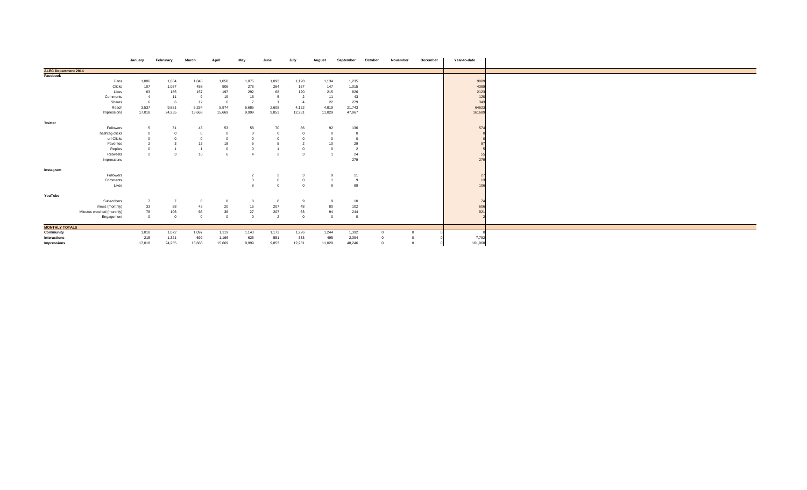|                             |                           | January            | Februrary | March          | Anril  | Mav            |                |        |        |        | October | November | December | Year-to-date |  |
|-----------------------------|---------------------------|--------------------|-----------|----------------|--------|----------------|----------------|--------|--------|--------|---------|----------|----------|--------------|--|
| <b>ALEC Department 2014</b> |                           |                    |           |                |        |                |                |        |        |        |         |          |          |              |  |
| Facebook                    |                           |                    |           |                |        |                |                |        |        |        |         |          |          |              |  |
|                             | Fans                      | 1,006              | 1,034     | 1,046          | 1,058  | 1,075          | 1,093          | 1,128  | 1,134  | 1,235  |         |          |          | 9809         |  |
|                             | Clicks                    | 107                | 1,057     | 458            | 906    | 278            | 264            | 157    | 147    | 1,015  |         |          |          | 4389         |  |
|                             | Likes                     | 63                 | 185       | 157            | 197    | 292            | 68             | 120    | 215    | 826    |         |          |          | 2123         |  |
|                             | Comments                  | $\mathbf{A}$       | 11        | 9              | 19     | 16             | -5             |        | 11     | 43     |         |          |          | 120          |  |
|                             | Shares                    |                    |           | 12             |        | $\overline{z}$ |                |        | 22     | 279    |         |          |          | 343          |  |
|                             | Reach                     | 3,537              | 9,881     | 5,254          | 5,974  | 6,685          | 2,608          | 4,122  | 4,819  | 21,743 |         |          |          | 64623        |  |
|                             | Impressions               | 17,018             | 24,255    | 13,668         | 15,669 | 9,999          | 9,853          | 12,231 | 11,029 | 47,967 |         |          |          | 161689       |  |
| Twitter                     |                           |                    |           |                |        |                |                |        |        |        |         |          |          |              |  |
|                             | Followers                 |                    | 31        | 43             | 53     | 58             | 70             | 86     | 92     | 136    |         |          |          | 574          |  |
|                             | hashtag clicks            |                    |           | $\overline{0}$ |        |                |                |        |        |        |         |          |          |              |  |
|                             | url Clicks                |                    |           | $\overline{0}$ |        |                |                |        |        |        |         |          |          |              |  |
|                             | Favorites                 |                    |           | 13             | 18     |                |                |        | 10     | 29     |         |          |          |              |  |
|                             | Replies                   |                    |           |                |        |                |                |        |        |        |         |          |          |              |  |
|                             | Retweets                  | $\mathbf{\hat{a}}$ |           | 10             |        |                | $\overline{2}$ |        |        | 24     |         |          |          | 55           |  |
|                             | Impressions               |                    |           |                |        |                |                |        |        | 279    |         |          |          | 279          |  |
|                             |                           |                    |           |                |        |                |                |        |        |        |         |          |          |              |  |
| Instagram                   |                           |                    |           |                |        |                |                |        |        |        |         |          |          |              |  |
|                             | Followers                 |                    |           |                |        |                | $\overline{2}$ |        |        | 11     |         |          |          | 27           |  |
|                             | Comments                  |                    |           |                |        |                | $\Omega$       |        |        |        |         |          |          | 13           |  |
|                             | Likes                     |                    |           |                |        |                | $\Omega$       | $\sim$ |        | 89     |         |          |          | 106          |  |
| YouTube                     |                           |                    |           |                |        |                |                |        |        |        |         |          |          |              |  |
|                             | Subscribers               | $\overline{7}$     |           |                |        |                | 8              |        |        | 10     |         |          |          | 74           |  |
|                             | Views (monthly)           | 33                 | 58        | 42             | 20     | 16             | 207            | 48     | 80     | 102    |         |          |          | 606          |  |
|                             | Minutes watched (monthly) | 78                 | 106       | 66             | 36     | 27             | 207            | 63     | 94     | 244    |         |          |          | 921          |  |
|                             | Engagement                | $\Omega$           |           | $\Omega$       |        | $\Omega$       | $\overline{2}$ |        |        |        |         |          |          |              |  |
|                             |                           |                    |           |                |        |                |                |        |        |        |         |          |          |              |  |
| <b>MONTHLY TOTALS</b>       |                           |                    |           |                |        |                |                |        |        |        |         |          |          |              |  |
| Community                   |                           | 1,018              | 1,072     | 1,097          | 1,119  | 1,143          | 1,173          | 1,226  | 1,244  | 1,392  |         |          |          |              |  |
| Interactions                |                           | 215                | 1,321     | 692            | 1,166  | 625            | 551            | 333    | 495    | 2,394  |         |          |          | 7,792        |  |
| Impressions                 |                           | 17,018             | 24,255    | 13,668         | 15,669 | 9,999          | 9,853          | 12,231 | 11,029 | 48,246 |         | $\Omega$ |          | 161,968      |  |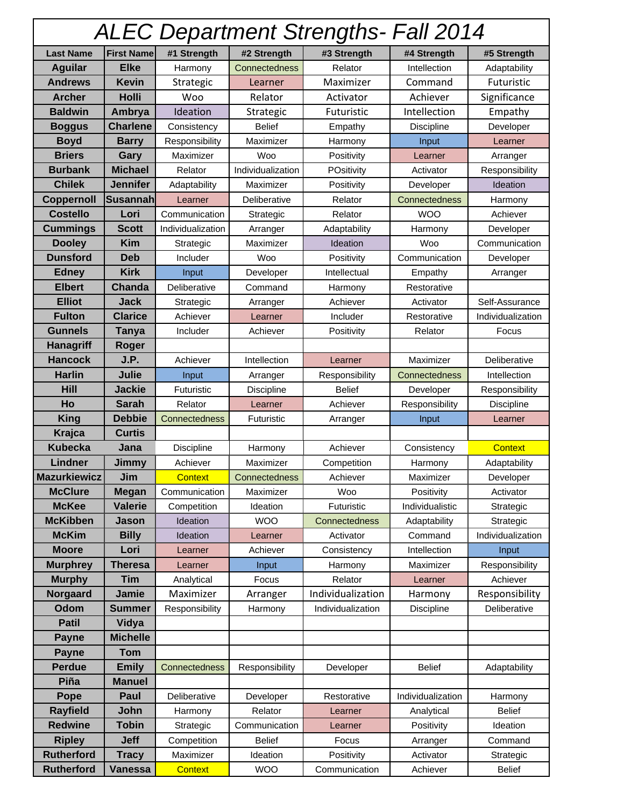| <b>ALEC Department Strengths- Fall 2014</b> |                   |                   |                   |                   |                   |                   |  |  |  |
|---------------------------------------------|-------------------|-------------------|-------------------|-------------------|-------------------|-------------------|--|--|--|
| <b>Last Name</b>                            | <b>First Name</b> | #1 Strength       | #2 Strength       | #3 Strength       | #4 Strength       | #5 Strength       |  |  |  |
| <b>Aguilar</b>                              | <b>Elke</b>       | Harmony           | Connectedness     | Relator           | Intellection      | Adaptability      |  |  |  |
| <b>Andrews</b>                              | <b>Kevin</b>      | Strategic         | Learner           | Maximizer         | Command           | <b>Futuristic</b> |  |  |  |
| <b>Archer</b>                               | <b>Holli</b>      | Woo               | Relator           | Activator         | Achiever          | Significance      |  |  |  |
| <b>Baldwin</b>                              | Ambrya            | Ideation          | Strategic         | Futuristic        | Intellection      | Empathy           |  |  |  |
| <b>Boggus</b>                               | <b>Charlene</b>   | Consistency       | <b>Belief</b>     | Empathy           | <b>Discipline</b> | Developer         |  |  |  |
| <b>Boyd</b>                                 | <b>Barry</b>      | Responsibility    | Maximizer         | Harmony           | Input             | Learner           |  |  |  |
| <b>Briers</b>                               | Gary              | Maximizer         | Woo               | Positivity        | Learner           | Arranger          |  |  |  |
| <b>Burbank</b>                              | <b>Michael</b>    | Relator           | Individualization | POsitivity        | Activator         | Responsibility    |  |  |  |
| <b>Chilek</b>                               | <b>Jennifer</b>   | Adaptability      | Maximizer         | Positivity        | Developer         | Ideation          |  |  |  |
| Coppernoll                                  | lSusannah         | Learner           | Deliberative      | Relator           | Connectedness     | Harmony           |  |  |  |
| <b>Costello</b>                             | Lori              | Communication     | Strategic         | Relator           | <b>WOO</b>        | Achiever          |  |  |  |
| <b>Cummings</b>                             | <b>Scott</b>      | Individualization | Arranger          | Adaptability      | Harmony           | Developer         |  |  |  |
| <b>Dooley</b>                               | <b>Kim</b>        | Strategic         | Maximizer         | Ideation          | Woo               | Communication     |  |  |  |
| <b>Dunsford</b>                             | <b>Deb</b>        | Includer          | Woo               | Positivity        | Communication     | Developer         |  |  |  |
| <b>Edney</b>                                | <b>Kirk</b>       | Input             | Developer         | Intellectual      | Empathy           | Arranger          |  |  |  |
| <b>Elbert</b>                               | Chanda            | Deliberative      | Command           | Harmony           | Restorative       |                   |  |  |  |
| <b>Elliot</b>                               | Jack              | Strategic         | Arranger          | Achiever          | Activator         | Self-Assurance    |  |  |  |
| <b>Fulton</b>                               | <b>Clarice</b>    | Achiever          | Learner           | Includer          | Restorative       | Individualization |  |  |  |
| <b>Gunnels</b>                              | <b>Tanya</b>      | Includer          | Achiever          | Positivity        | Relator           | Focus             |  |  |  |
| <b>Hanagriff</b>                            | Roger             |                   |                   |                   |                   |                   |  |  |  |
| <b>Hancock</b>                              | J.P.              | Achiever          | Intellection      | Learner           | Maximizer         | Deliberative      |  |  |  |
| <b>Harlin</b>                               | Julie             | Input             | Arranger          | Responsibility    | Connectedness     | Intellection      |  |  |  |
| <b>Hill</b>                                 | <b>Jackie</b>     | Futuristic        | <b>Discipline</b> | <b>Belief</b>     | Developer         | Responsibility    |  |  |  |
| Ho                                          | <b>Sarah</b>      | Relator           | Learner           | Achiever          | Responsibility    | <b>Discipline</b> |  |  |  |
| <b>King</b>                                 | <b>Debbie</b>     | Connectedness     | Futuristic        | Arranger          | Input             | Learner           |  |  |  |
| Krajca                                      | <b>Curtis</b>     |                   |                   |                   |                   |                   |  |  |  |
| <b>Kubecka</b>                              | Jana              | Discipline        | Harmony           | Achiever          | Consistency       | <b>Context</b>    |  |  |  |
| Lindner                                     | Jimmy             | Achiever          | Maximizer         | Competition       | Harmony           | Adaptability      |  |  |  |
| <b>Mazurkiewicz</b>                         | Jim               | <b>Context</b>    | Connectedness     | Achiever          | Maximizer         | Developer         |  |  |  |
| <b>McClure</b>                              | <b>Megan</b>      | Communication     | Maximizer         | Woo               | Positivity        | Activator         |  |  |  |
| <b>McKee</b>                                | <b>Valerie</b>    | Competition       | Ideation          | Futuristic        | Individualistic   | Strategic         |  |  |  |
| <b>McKibben</b>                             | Jason             | Ideation          | <b>WOO</b>        | Connectedness     | Adaptability      | Strategic         |  |  |  |
| <b>McKim</b>                                | <b>Billy</b>      | Ideation          | Learner           | Activator         | Command           | Individualization |  |  |  |
| <b>Moore</b>                                | Lori              | Learner           | Achiever          | Consistency       | Intellection      | Input             |  |  |  |
| <b>Murphrey</b>                             | <b>Theresa</b>    | Learner           | Input             | Harmony           | Maximizer         | Responsibility    |  |  |  |
| <b>Murphy</b>                               | <b>Tim</b>        | Analytical        | Focus             | Relator           | Learner           | Achiever          |  |  |  |
| Norgaard                                    | Jamie             | Maximizer         | Arranger          | Individualization | Harmony           | Responsibility    |  |  |  |
| Odom                                        | <b>Summer</b>     | Responsibility    | Harmony           | Individualization | Discipline        | Deliberative      |  |  |  |
| <b>Patil</b>                                | Vidya             |                   |                   |                   |                   |                   |  |  |  |
| <b>Payne</b>                                | <b>Michelle</b>   |                   |                   |                   |                   |                   |  |  |  |
| <b>Payne</b>                                | <b>Tom</b>        |                   |                   |                   |                   |                   |  |  |  |
| <b>Perdue</b>                               | <b>Emily</b>      | Connectedness     | Responsibility    | Developer         | <b>Belief</b>     | Adaptability      |  |  |  |
| Piña                                        | <b>Manuel</b>     |                   |                   |                   |                   |                   |  |  |  |
| Pope                                        | Paul              | Deliberative      | Developer         | Restorative       | Individualization | Harmony           |  |  |  |
| <b>Rayfield</b>                             | John              | Harmony           | Relator           | Learner           | Analytical        | <b>Belief</b>     |  |  |  |
| <b>Redwine</b>                              | <b>Tobin</b>      | Strategic         | Communication     | Learner           | Positivity        | Ideation          |  |  |  |
| <b>Ripley</b>                               | <b>Jeff</b>       | Competition       | <b>Belief</b>     | Focus             | Arranger          | Command           |  |  |  |
| <b>Rutherford</b>                           | <b>Tracy</b>      | Maximizer         | Ideation          | Positivity        | Activator         | Strategic         |  |  |  |
| <b>Rutherford</b>                           | <b>Vanessa</b>    | <b>Context</b>    | <b>WOO</b>        | Communication     | Achiever          | <b>Belief</b>     |  |  |  |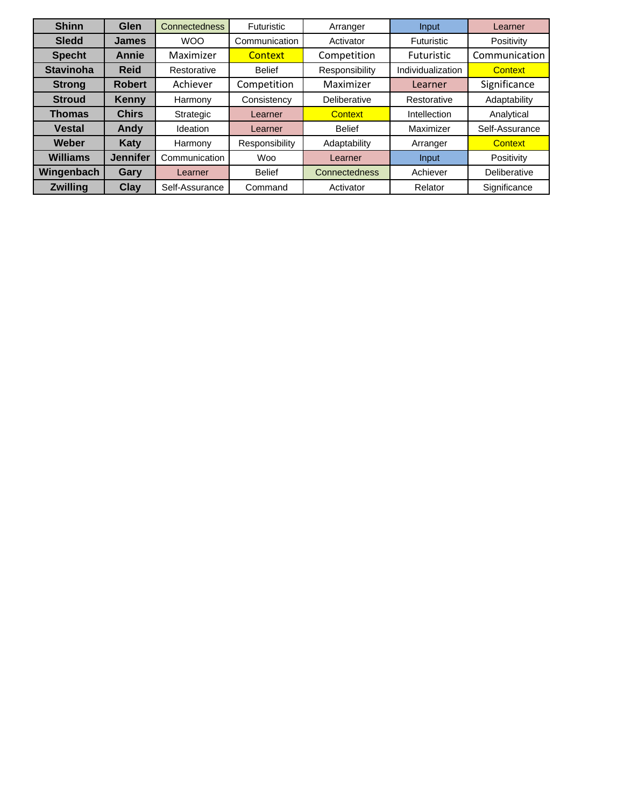| <b>Shinn</b>     | Glen            | <b>Connectedness</b> | <b>Futuristic</b> | Arranger       | Input             | Learner        |
|------------------|-----------------|----------------------|-------------------|----------------|-------------------|----------------|
| <b>Sledd</b>     | <b>James</b>    | <b>WOO</b>           | Communication     | Activator      | <b>Futuristic</b> | Positivity     |
| <b>Specht</b>    | Annie           | Maximizer            | Context           | Competition    | <b>Futuristic</b> | Communication  |
| <b>Stavinoha</b> | <b>Reid</b>     | Restorative          | <b>Belief</b>     | Responsibility | Individualization | <b>Context</b> |
| <b>Strong</b>    | <b>Robert</b>   | Achiever             | Competition       | Maximizer      | Learner           | Significance   |
| <b>Stroud</b>    | Kenny           | Harmony              | Consistency       | Deliberative   | Restorative       | Adaptability   |
| <b>Thomas</b>    | <b>Chirs</b>    | Strategic            | Learner           | <b>Context</b> | Intellection      | Analytical     |
| <b>Vestal</b>    | Andy            | Ideation             | Learner           | <b>Belief</b>  | Maximizer         | Self-Assurance |
| Weber            | <b>Katy</b>     | Harmony              | Responsibility    | Adaptability   | Arranger          | <b>Context</b> |
| <b>Williams</b>  | <b>Jennifer</b> | Communication        | <b>Woo</b>        | Learner        | Input             | Positivity     |
| Wingenbach       | <b>Gary</b>     | Learner              | <b>Belief</b>     | Connectedness  | Achiever          | Deliberative   |
| <b>Zwilling</b>  | Clay            | Self-Assurance       | Command           | Activator      | Relator           | Significance   |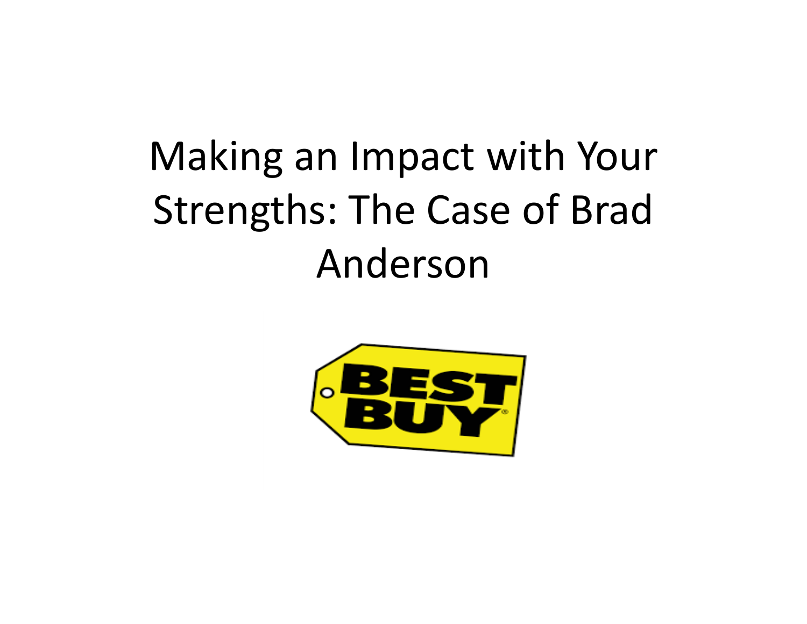# Making an Impact with Your Strengths: The Case of Brad Anderson

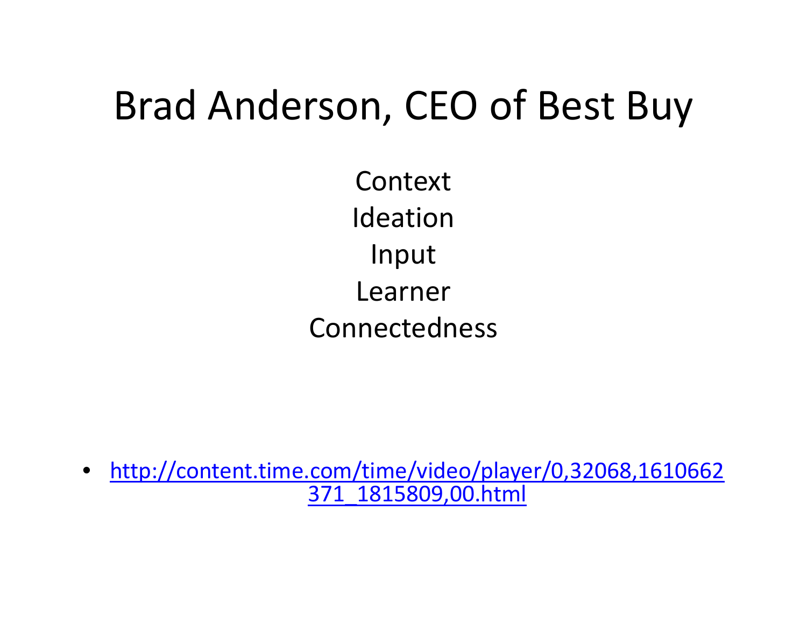# Brad Anderson, CEO of Best Buy

ContextIdeationInput LearnerConnectedness

• http://content.time.com/time/video/player/0,32068,1610662 371\_1815809,00.html